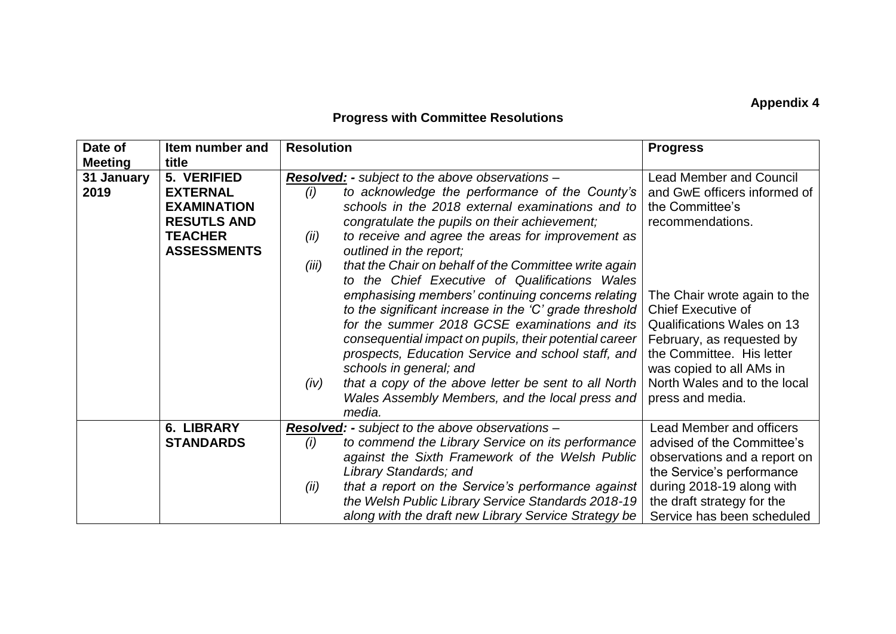## **Appendix 4**

## **Progress with Committee Resolutions**

| Date of<br><b>Meeting</b> | Item number and<br>title                                                                                           | <b>Resolution</b>                                                                                                                                                                                                                                                                                                                                                                                                                                                                                                                                                                                                                                                                                                                                                                                                                                                        | <b>Progress</b>                                                                                                                                                                                                                                                                                                                            |
|---------------------------|--------------------------------------------------------------------------------------------------------------------|--------------------------------------------------------------------------------------------------------------------------------------------------------------------------------------------------------------------------------------------------------------------------------------------------------------------------------------------------------------------------------------------------------------------------------------------------------------------------------------------------------------------------------------------------------------------------------------------------------------------------------------------------------------------------------------------------------------------------------------------------------------------------------------------------------------------------------------------------------------------------|--------------------------------------------------------------------------------------------------------------------------------------------------------------------------------------------------------------------------------------------------------------------------------------------------------------------------------------------|
| 31 January<br>2019        | 5. VERIFIED<br><b>EXTERNAL</b><br><b>EXAMINATION</b><br><b>RESUTLS AND</b><br><b>TEACHER</b><br><b>ASSESSMENTS</b> | <b>Resolved: -</b> subject to the above observations -<br>to acknowledge the performance of the County's<br>(i)<br>schools in the 2018 external examinations and to<br>congratulate the pupils on their achievement;<br>to receive and agree the areas for improvement as<br>(ii)<br>outlined in the report;<br>that the Chair on behalf of the Committee write again<br>(iii)<br>to the Chief Executive of Qualifications Wales<br>emphasising members' continuing concerns relating<br>to the significant increase in the 'C' grade threshold<br>for the summer 2018 GCSE examinations and its<br>consequential impact on pupils, their potential career<br>prospects, Education Service and school staff, and<br>schools in general; and<br>that a copy of the above letter be sent to all North<br>(iv)<br>Wales Assembly Members, and the local press and<br>media. | <b>Lead Member and Council</b><br>and GwE officers informed of<br>the Committee's<br>recommendations.<br>The Chair wrote again to the<br><b>Chief Executive of</b><br>Qualifications Wales on 13<br>February, as requested by<br>the Committee. His letter<br>was copied to all AMs in<br>North Wales and to the local<br>press and media. |
|                           | 6. LIBRARY<br><b>STANDARDS</b>                                                                                     | <b>Resolved:</b> - subject to the above observations -<br>to commend the Library Service on its performance<br>(i)<br>against the Sixth Framework of the Welsh Public<br>Library Standards; and<br>that a report on the Service's performance against<br>(ii)<br>the Welsh Public Library Service Standards 2018-19<br>along with the draft new Library Service Strategy be                                                                                                                                                                                                                                                                                                                                                                                                                                                                                              | <b>Lead Member and officers</b><br>advised of the Committee's<br>observations and a report on<br>the Service's performance<br>during 2018-19 along with<br>the draft strategy for the<br>Service has been scheduled                                                                                                                        |